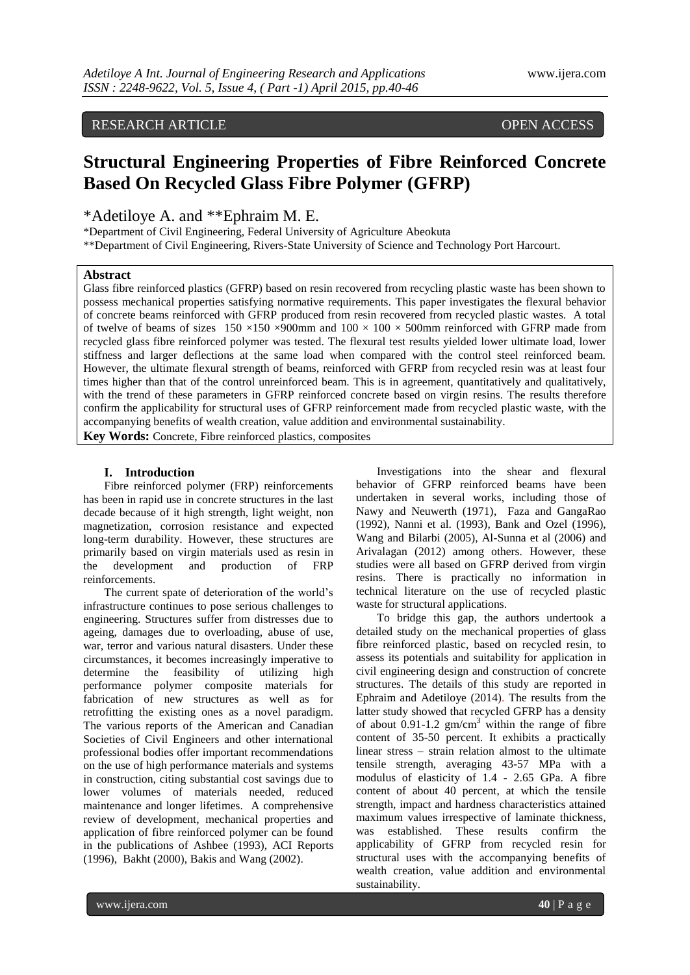# RESEARCH ARTICLE OPEN ACCESS

# **Structural Engineering Properties of Fibre Reinforced Concrete Based On Recycled Glass Fibre Polymer (GFRP)**

\*Adetiloye A. and \*\*Ephraim M. E.

\*Department of Civil Engineering, Federal University of Agriculture Abeokuta

\*\*Department of Civil Engineering, Rivers-State University of Science and Technology Port Harcourt.

#### **Abstract**

Glass fibre reinforced plastics (GFRP) based on resin recovered from recycling plastic waste has been shown to possess mechanical properties satisfying normative requirements. This paper investigates the flexural behavior of concrete beams reinforced with GFRP produced from resin recovered from recycled plastic wastes. A total of twelve of beams of sizes  $150 \times 150 \times 900$ mm and  $100 \times 100 \times 500$ mm reinforced with GFRP made from recycled glass fibre reinforced polymer was tested. The flexural test results yielded lower ultimate load, lower stiffness and larger deflections at the same load when compared with the control steel reinforced beam. However, the ultimate flexural strength of beams, reinforced with GFRP from recycled resin was at least four times higher than that of the control unreinforced beam. This is in agreement, quantitatively and qualitatively, with the trend of these parameters in GFRP reinforced concrete based on virgin resins. The results therefore confirm the applicability for structural uses of GFRP reinforcement made from recycled plastic waste, with the accompanying benefits of wealth creation, value addition and environmental sustainability.

**Key Words:** Concrete, Fibre reinforced plastics, composites

#### **I. Introduction**

Fibre reinforced polymer (FRP) reinforcements has been in rapid use in concrete structures in the last decade because of it high strength, light weight, non magnetization, corrosion resistance and expected long-term durability. However, these structures are primarily based on virgin materials used as resin in the development and production of FRP reinforcements.

The current spate of deterioration of the world"s infrastructure continues to pose serious challenges to engineering. Structures suffer from distresses due to ageing, damages due to overloading, abuse of use, war, terror and various natural disasters. Under these circumstances, it becomes increasingly imperative to determine the feasibility of utilizing high performance polymer composite materials for fabrication of new structures as well as for retrofitting the existing ones as a novel paradigm. The various reports of the American and Canadian Societies of Civil Engineers and other international professional bodies offer important recommendations on the use of high performance materials and systems in construction, citing substantial cost savings due to lower volumes of materials needed, reduced maintenance and longer lifetimes. A comprehensive review of development, mechanical properties and application of fibre reinforced polymer can be found in the publications of Ashbee (1993), ACI Reports (1996), Bakht (2000), Bakis and Wang (2002).

Investigations into the shear and flexural behavior of GFRP reinforced beams have been undertaken in several works, including those of Nawy and Neuwerth (1971), Faza and GangaRao (1992), Nanni et al. (1993), Bank and Ozel (1996), Wang and Bilarbi (2005), Al-Sunna et al (2006) and Arivalagan (2012) among others. However, these studies were all based on GFRP derived from virgin resins. There is practically no information in technical literature on the use of recycled plastic waste for structural applications.

To bridge this gap, the authors undertook a detailed study on the mechanical properties of glass fibre reinforced plastic, based on recycled resin, to assess its potentials and suitability for application in civil engineering design and construction of concrete structures. The details of this study are reported in Ephraim and Adetiloye (2014). The results from the latter study showed that recycled GFRP has a density of about 0.91-1.2  $\text{gm/cm}^3$  within the range of fibre content of 35-50 percent. It exhibits a practically linear stress – strain relation almost to the ultimate tensile strength, averaging 43-57 MPa with a modulus of elasticity of 1.4 - 2.65 GPa. A fibre content of about 40 percent, at which the tensile strength, impact and hardness characteristics attained maximum values irrespective of laminate thickness, was established. These results confirm the applicability of GFRP from recycled resin for structural uses with the accompanying benefits of wealth creation, value addition and environmental sustainability.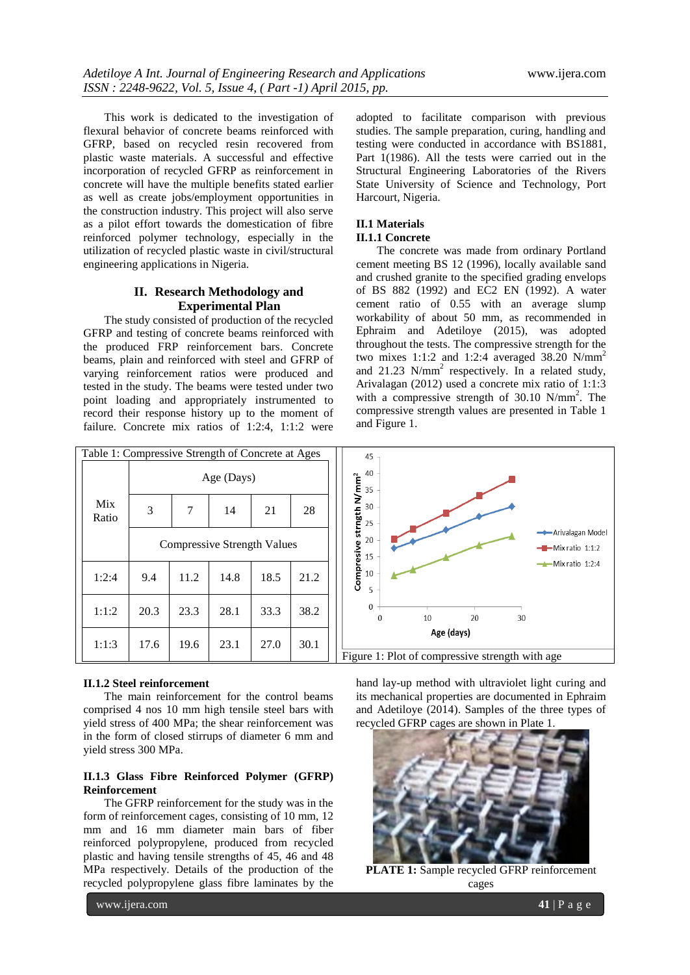This work is dedicated to the investigation of flexural behavior of concrete beams reinforced with GFRP, based on recycled resin recovered from plastic waste materials. A successful and effective incorporation of recycled GFRP as reinforcement in concrete will have the multiple benefits stated earlier as well as create jobs/employment opportunities in the construction industry. This project will also serve as a pilot effort towards the domestication of fibre reinforced polymer technology, especially in the utilization of recycled plastic waste in civil/structural engineering applications in Nigeria.

## **II. Research Methodology and Experimental Plan**

The study consisted of production of the recycled GFRP and testing of concrete beams reinforced with the produced FRP reinforcement bars. Concrete beams, plain and reinforced with steel and GFRP of varying reinforcement ratios were produced and tested in the study. The beams were tested under two point loading and appropriately instrumented to record their response history up to the moment of failure. Concrete mix ratios of 1:2:4, 1:1:2 were

adopted to facilitate comparison with previous studies. The sample preparation, curing, handling and testing were conducted in accordance with BS1881, Part 1(1986). All the tests were carried out in the Structural Engineering Laboratories of the Rivers State University of Science and Technology, Port Harcourt, Nigeria.

# **II.1 Materials**

## **II.1.1 Concrete**

The concrete was made from ordinary Portland cement meeting BS 12 (1996), locally available sand and crushed granite to the specified grading envelops of BS 882 (1992) and EC2 EN (1992). A water cement ratio of 0.55 with an average slump workability of about 50 mm, as recommended in Ephraim and Adetiloye (2015), was adopted throughout the tests. The compressive strength for the two mixes 1:1:2 and 1:2:4 averaged 38.20  $N/mm<sup>2</sup>$ and  $21.23$  N/mm<sup>2</sup> respectively. In a related study, Arivalagan (2012) used a concrete mix ratio of 1:1:3 with a compressive strength of 30.10 N/mm<sup>2</sup>. The compressive strength values are presented in Table 1 and Figure 1.



#### **II.1.2 Steel reinforcement**

The main reinforcement for the control beams comprised 4 nos 10 mm high tensile steel bars with yield stress of 400 MPa; the shear reinforcement was in the form of closed stirrups of diameter 6 mm and yield stress 300 MPa.

#### **II.1.3 Glass Fibre Reinforced Polymer (GFRP) Reinforcement**

The GFRP reinforcement for the study was in the form of reinforcement cages, consisting of 10 mm, 12 mm and 16 mm diameter main bars of fiber reinforced polypropylene, produced from recycled plastic and having tensile strengths of 45, 46 and 48 MPa respectively. Details of the production of the recycled polypropylene glass fibre laminates by the

hand lay-up method with ultraviolet light curing and its mechanical properties are documented in Ephraim and Adetiloye (2014). Samples of the three types of recycled GFRP cages are shown in Plate 1.



**PLATE 1:** Sample recycled GFRP reinforcement cages

www.ijera.com **41** | P a g e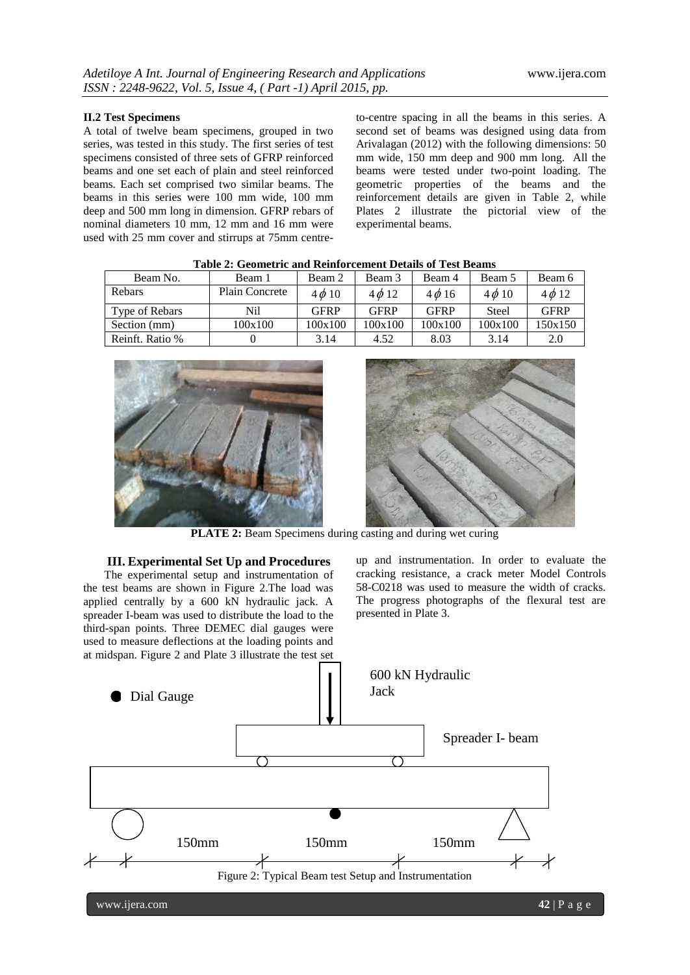#### **II.2 Test Specimens**

A total of twelve beam specimens, grouped in two series, was tested in this study. The first series of test specimens consisted of three sets of GFRP reinforced beams and one set each of plain and steel reinforced beams. Each set comprised two similar beams. The beams in this series were 100 mm wide, 100 mm deep and 500 mm long in dimension. GFRP rebars of nominal diameters 10 mm, 12 mm and 16 mm were used with 25 mm cover and stirrups at 75mm centre-

to-centre spacing in all the beams in this series. A second set of beams was designed using data from Arivalagan (2012) with the following dimensions: 50 mm wide, 150 mm deep and 900 mm long. All the beams were tested under two-point loading. The geometric properties of the beams and the reinforcement details are given in Table 2, while Plates 2 illustrate the pictorial view of the experimental beams.

| Table 2. Geometric and Kenhorechiem Details of Test Deams |                       |             |             |             |            |                      |  |  |  |
|-----------------------------------------------------------|-----------------------|-------------|-------------|-------------|------------|----------------------|--|--|--|
| Beam No.                                                  | Beam 1                | Beam 2      | Beam 3      | Beam 4      | Beam 5     | Beam 6<br>$4\phi$ 12 |  |  |  |
| Rebars                                                    | <b>Plain Concrete</b> | $4\phi 10$  | $4\phi$ 12  | $4\phi$ 16  | $4\phi$ 10 |                      |  |  |  |
| Type of Rebars                                            | Nil                   | <b>GFRP</b> | <b>GFRP</b> | <b>GFRP</b> | Steel      | <b>GFRP</b>          |  |  |  |
| Section (mm)                                              | 100x100               | 100x100     | 100x100     | 100x100     | 100x100    | 150x150              |  |  |  |
| Reinft. Ratio %                                           |                       | 3.14        | 4.52        | 8.03        | 3.14       | 2.0                  |  |  |  |

**Table 2: Geometric and Reinforcement Details of Test Beams**



**PLATE 2:** Beam Specimens during casting and during wet curing

#### **III. Experimental Set Up and Procedures**

The experimental setup and instrumentation of the test beams are shown in Figure 2.The load was applied centrally by a 600 kN hydraulic jack. A spreader I-beam was used to distribute the load to the third-span points. Three DEMEC dial gauges were used to measure deflections at the loading points and

up and instrumentation. In order to evaluate the cracking resistance, a crack meter Model Controls 58-C0218 was used to measure the width of cracks. The progress photographs of the flexural test are presented in Plate 3.

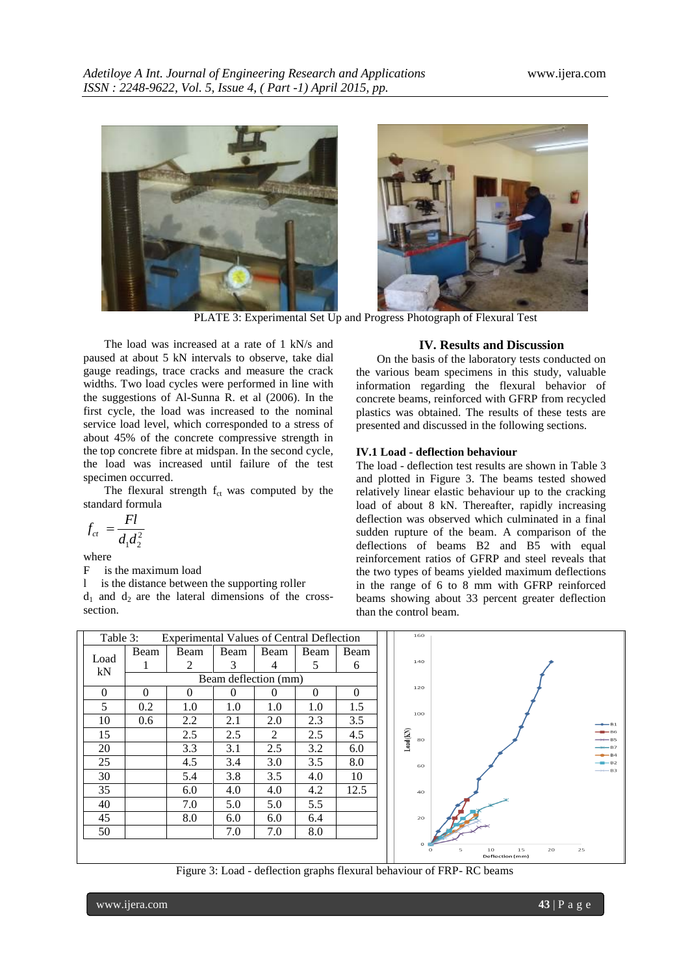

PLATE 3: Experimental Set Up and Progress Photograph of Flexural Test

The load was increased at a rate of 1 kN/s and paused at about 5 kN intervals to observe, take dial gauge readings, trace cracks and measure the crack widths. Two load cycles were performed in line with the suggestions of Al-Sunna R. et al (2006). In the first cycle, the load was increased to the nominal service load level, which corresponded to a stress of about 45% of the concrete compressive strength in the top concrete fibre at midspan. In the second cycle, the load was increased until failure of the test specimen occurred.

The flexural strength  $f_{ct}$  was computed by the standard formula

$$
f_{ct} = \frac{Fl}{d_1 d_2^2}
$$

where

F is the maximum load

l is the distance between the supporting roller

 $d_1$  and  $d_2$  are the lateral dimensions of the crosssection.

#### **IV. Results and Discussion**

On the basis of the laboratory tests conducted on the various beam specimens in this study, valuable information regarding the flexural behavior of concrete beams, reinforced with GFRP from recycled plastics was obtained. The results of these tests are presented and discussed in the following sections.

#### **IV.1 Load - deflection behaviour**

The load - deflection test results are shown in Table 3 and plotted in Figure 3. The beams tested showed relatively linear elastic behaviour up to the cracking load of about 8 kN. Thereafter, rapidly increasing deflection was observed which culminated in a final sudden rupture of the beam. A comparison of the deflections of beams B2 and B5 with equal reinforcement ratios of GFRP and steel reveals that the two types of beams yielded maximum deflections in the range of 6 to 8 mm with GFRP reinforced beams showing about 33 percent greater deflection than the control beam.

|            | Table 3:<br>Experimental Values of Central Deflection |          |          |          |          |          | 160                            |                                       |
|------------|-------------------------------------------------------|----------|----------|----------|----------|----------|--------------------------------|---------------------------------------|
|            | Beam                                                  | Beam     | Beam     | Beam     | Beam     | Beam     |                                |                                       |
| Load<br>kN |                                                       | 2        | 3        | 4        | 5        | 6        | 140                            |                                       |
|            | Beam deflection (mm)                                  |          |          |          |          |          |                                |                                       |
| $\Omega$   | $\theta$                                              | $\theta$ | $\Omega$ | $\Omega$ | $\Omega$ | $\Omega$ | 120                            |                                       |
| 5          | 0.2                                                   | 1.0      | 1.0      | 1.0      | 1.0      | 1.5      | 100                            |                                       |
| 10         | 0.6                                                   | 2.2      | 2.1      | 2.0      | 2.3      | 3.5      |                                | $\rightarrow$ B1                      |
| 15         |                                                       | 2.5      | 2.5      | 2        | 2.5      | 4.5      | $\text{Load}(\text{KN})$<br>80 | $-86$<br>$\rightarrow$ B5             |
| 20         |                                                       | 3.3      | 3.1      | 2.5      | 3.2      | 6.0      |                                | $\rightarrow$ B7<br>$-84$             |
| 25         |                                                       | 4.5      | 3.4      | 3.0      | 3.5      | 8.0      | 60                             | $-$ B <sub>2</sub>                    |
| 30         |                                                       | 5.4      | 3.8      | 3.5      | 4.0      | 10       |                                | $\rightarrow \leftarrow$ B3           |
| 35         |                                                       | 6.0      | 4.0      | 4.0      | 4.2      | 12.5     | 40                             |                                       |
| 40         |                                                       | 7.0      | 5.0      | 5.0      | 5.5      |          |                                |                                       |
| 45         |                                                       | 8.0      | 6.0      | 6.0      | 6.4      |          | 20                             |                                       |
| 50         |                                                       |          | 7.0      | 7.0      | 8.0      |          |                                |                                       |
|            |                                                       |          |          |          |          |          |                                | 10<br>15<br>20<br>25<br>5<br>$\Omega$ |
|            |                                                       |          |          |          |          |          |                                | Deflection (mm)                       |

Figure 3: Load - deflection graphs flexural behaviour of FRP- RC beams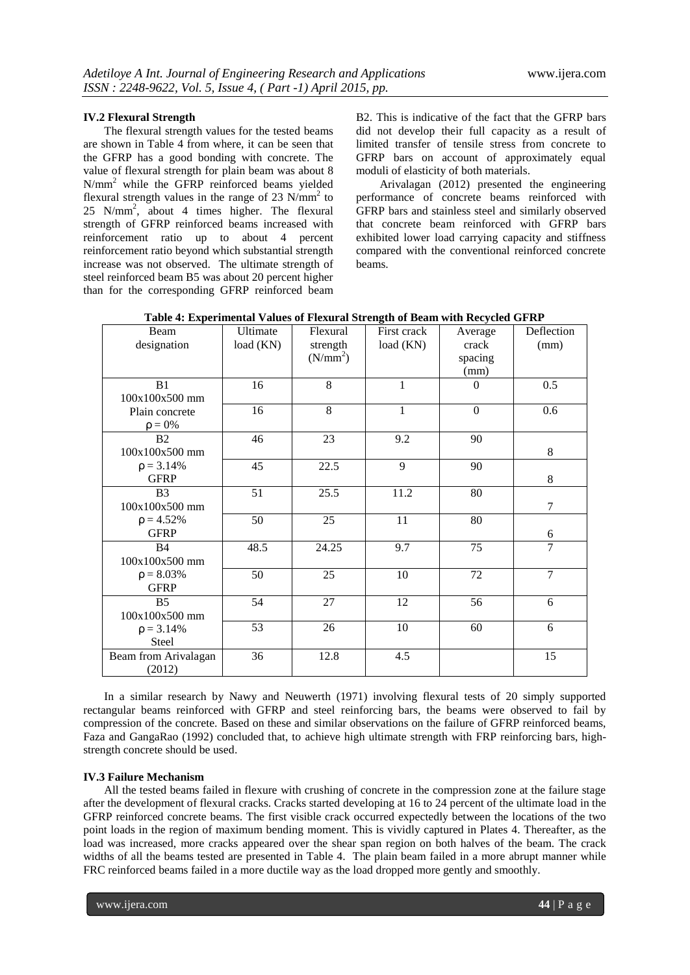#### **IV.2 Flexural Strength**

The flexural strength values for the tested beams are shown in Table 4 from where, it can be seen that the GFRP has a good bonding with concrete. The value of flexural strength for plain beam was about 8 N/mm<sup>2</sup> while the GFRP reinforced beams yielded flexural strength values in the range of 23  $N/mm^2$  to 25 N/mm<sup>2</sup> , about 4 times higher. The flexural strength of GFRP reinforced beams increased with reinforcement ratio up to about 4 percent reinforcement ratio beyond which substantial strength increase was not observed. The ultimate strength of steel reinforced beam B5 was about 20 percent higher than for the corresponding GFRP reinforced beam B2. This is indicative of the fact that the GFRP bars did not develop their full capacity as a result of limited transfer of tensile stress from concrete to GFRP bars on account of approximately equal moduli of elasticity of both materials.

Arivalagan (2012) presented the engineering performance of concrete beams reinforced with GFRP bars and stainless steel and similarly observed that concrete beam reinforced with GFRP bars exhibited lower load carrying capacity and stiffness compared with the conventional reinforced concrete beams.

| Beam<br>designation              | Ultimate<br>load (KN) | Flexural<br>strength<br>(N/mm <sup>2</sup> ) | First crack<br>load(KN) | Average<br>crack<br>spacing<br>(mm) | Deflection<br>(mm) |
|----------------------------------|-----------------------|----------------------------------------------|-------------------------|-------------------------------------|--------------------|
| B <sub>1</sub><br>100x100x500 mm | 16                    | 8                                            | 1                       | $\Omega$                            | 0.5                |
| Plain concrete<br>$\rho = 0\%$   | 16                    | 8                                            | 1                       | $\boldsymbol{0}$                    | 0.6                |
| B <sub>2</sub><br>100x100x500 mm | 46                    | 23                                           | 9.2                     | 90                                  | 8                  |
| $p = 3.14%$<br><b>GFRP</b>       | 45                    | 22.5                                         | 9                       | 90                                  | 8                  |
| B <sub>3</sub><br>100x100x500 mm | 51                    | 25.5                                         | 11.2                    | 80                                  | $\tau$             |
| $p = 4.52%$<br><b>GFRP</b>       | 50                    | 25                                           | 11                      | 80                                  | 6                  |
| B <sub>4</sub><br>100x100x500 mm | 48.5                  | 24.25                                        | 9.7                     | 75                                  | $\overline{7}$     |
| $\rho = 8.03\%$<br><b>GFRP</b>   | 50                    | 25                                           | 10                      | 72                                  | $\overline{7}$     |
| B <sub>5</sub><br>100x100x500 mm | 54                    | 27                                           | 12                      | 56                                  | 6                  |
| $\rho = 3.14\%$<br><b>Steel</b>  | 53                    | 26                                           | 10                      | 60                                  | 6                  |
| Beam from Arivalagan<br>(2012)   | 36                    | 12.8                                         | 4.5                     |                                     | 15                 |

In a similar research by Nawy and Neuwerth (1971) involving flexural tests of 20 simply supported rectangular beams reinforced with GFRP and steel reinforcing bars, the beams were observed to fail by compression of the concrete. Based on these and similar observations on the failure of GFRP reinforced beams, Faza and GangaRao (1992) concluded that, to achieve high ultimate strength with FRP reinforcing bars, highstrength concrete should be used.

#### **IV.3 Failure Mechanism**

All the tested beams failed in flexure with crushing of concrete in the compression zone at the failure stage after the development of flexural cracks. Cracks started developing at 16 to 24 percent of the ultimate load in the GFRP reinforced concrete beams. The first visible crack occurred expectedly between the locations of the two point loads in the region of maximum bending moment. This is vividly captured in Plates 4. Thereafter, as the load was increased, more cracks appeared over the shear span region on both halves of the beam. The crack widths of all the beams tested are presented in Table 4. The plain beam failed in a more abrupt manner while FRC reinforced beams failed in a more ductile way as the load dropped more gently and smoothly.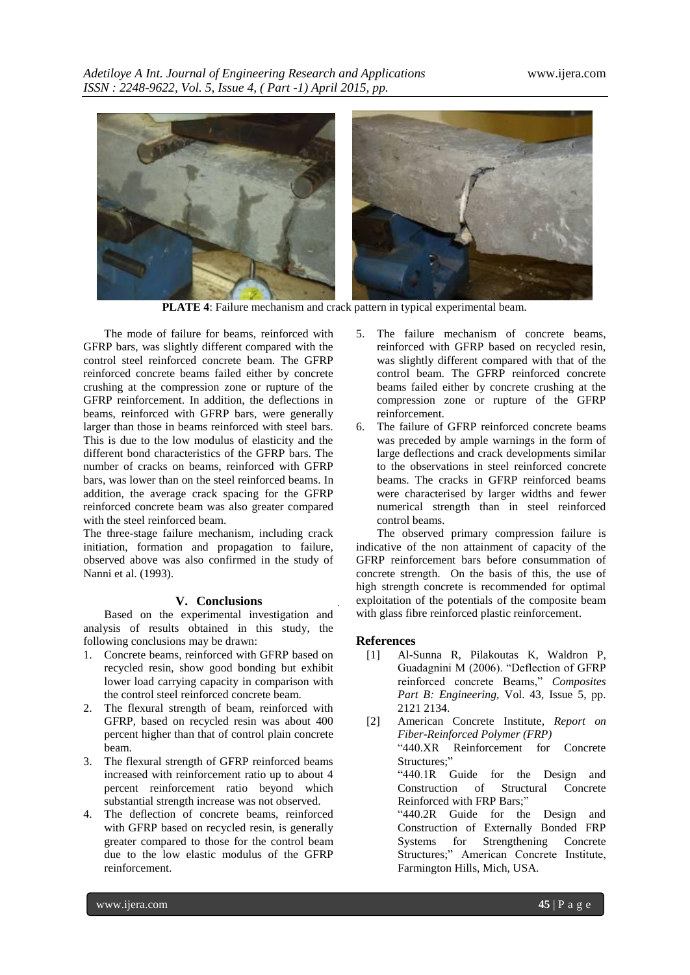

**PLATE 4**: Failure mechanism and crack pattern in typical experimental beam.

The mode of failure for beams, reinforced with GFRP bars, was slightly different compared with the control steel reinforced concrete beam. The GFRP reinforced concrete beams failed either by concrete crushing at the compression zone or rupture of the GFRP reinforcement. In addition, the deflections in beams, reinforced with GFRP bars, were generally larger than those in beams reinforced with steel bars. This is due to the low modulus of elasticity and the different bond characteristics of the GFRP bars. The number of cracks on beams, reinforced with GFRP bars, was lower than on the steel reinforced beams. In addition, the average crack spacing for the GFRP reinforced concrete beam was also greater compared with the steel reinforced beam.

The three-stage failure mechanism, including crack initiation, formation and propagation to failure, observed above was also confirmed in the study of Nanni et al. (1993).

#### **V. Conclusions**

Based on the experimental investigation and analysis of results obtained in this study, the following conclusions may be drawn:

- 1. Concrete beams, reinforced with GFRP based on recycled resin, show good bonding but exhibit lower load carrying capacity in comparison with the control steel reinforced concrete beam.
- 2. The flexural strength of beam, reinforced with GFRP, based on recycled resin was about 400 percent higher than that of control plain concrete beam.
- 3. The flexural strength of GFRP reinforced beams increased with reinforcement ratio up to about 4 percent reinforcement ratio beyond which substantial strength increase was not observed.
- 4. The deflection of concrete beams, reinforced with GFRP based on recycled resin, is generally greater compared to those for the control beam due to the low elastic modulus of the GFRP reinforcement.
- 5. The failure mechanism of concrete beams, reinforced with GFRP based on recycled resin, was slightly different compared with that of the control beam. The GFRP reinforced concrete beams failed either by concrete crushing at the compression zone or rupture of the GFRP reinforcement.
- 6. The failure of GFRP reinforced concrete beams was preceded by ample warnings in the form of large deflections and crack developments similar to the observations in steel reinforced concrete beams. The cracks in GFRP reinforced beams were characterised by larger widths and fewer numerical strength than in steel reinforced control beams.

The observed primary compression failure is indicative of the non attainment of capacity of the GFRP reinforcement bars before consummation of concrete strength. On the basis of this, the use of high strength concrete is recommended for optimal exploitation of the potentials of the composite beam with glass fibre reinforced plastic reinforcement.

## **References**

- [1] Al-Sunna R, Pilakoutas K, Waldron P, Guadagnini M (2006). "Deflection of GFRP reinforced concrete Beams," *Composites Part B: Engineering,* Vol. 43, Issue 5, pp. 2121 2134.
- [2] American Concrete Institute, *Report on Fiber-Reinforced Polymer (FRP)* "440.XR Reinforcement for Concrete Structures;" "440.1R Guide for the Design and Construction of Structural Concrete Reinforced with FRP Bars;" "440.2R Guide for the Design and Construction of Externally Bonded FRP Systems for Strengthening Concrete

Structures;" American Concrete Institute, Farmington Hills, Mich, USA.